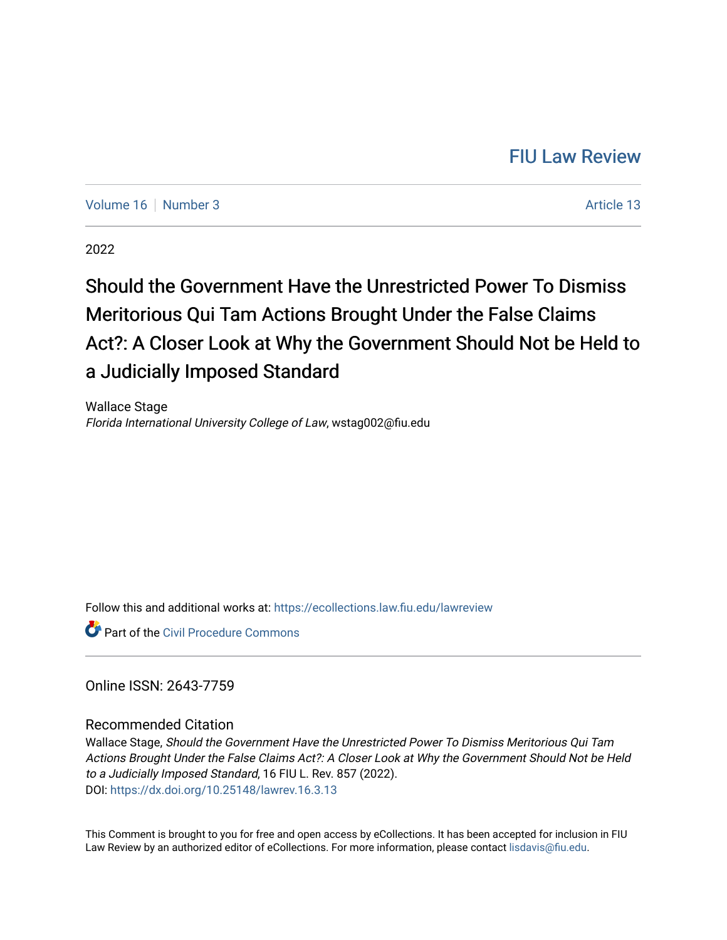# [FIU Law Review](https://ecollections.law.fiu.edu/lawreview)

[Volume 16](https://ecollections.law.fiu.edu/lawreview/vol16) [Number 3](https://ecollections.law.fiu.edu/lawreview/vol16/iss3) Article 13

2022

# Should the Government Have the Unrestricted Power To Dismiss Meritorious Qui Tam Actions Brought Under the False Claims Act?: A Closer Look at Why the Government Should Not be Held to a Judicially Imposed Standard

Wallace Stage Florida International University College of Law, wstag002@fiu.edu

Follow this and additional works at: [https://ecollections.law.fiu.edu/lawreview](https://ecollections.law.fiu.edu/lawreview?utm_source=ecollections.law.fiu.edu%2Flawreview%2Fvol16%2Fiss3%2F13&utm_medium=PDF&utm_campaign=PDFCoverPages)

**C** Part of the Civil Procedure Commons

Online ISSN: 2643-7759

# Recommended Citation

Wallace Stage, Should the Government Have the Unrestricted Power To Dismiss Meritorious Qui Tam Actions Brought Under the False Claims Act?: A Closer Look at Why the Government Should Not be Held to a Judicially Imposed Standard, 16 FIU L. Rev. 857 (2022). DOI:<https://dx.doi.org/10.25148/lawrev.16.3.13>

This Comment is brought to you for free and open access by eCollections. It has been accepted for inclusion in FIU Law Review by an authorized editor of eCollections. For more information, please contact [lisdavis@fiu.edu](mailto:lisdavis@fiu.edu).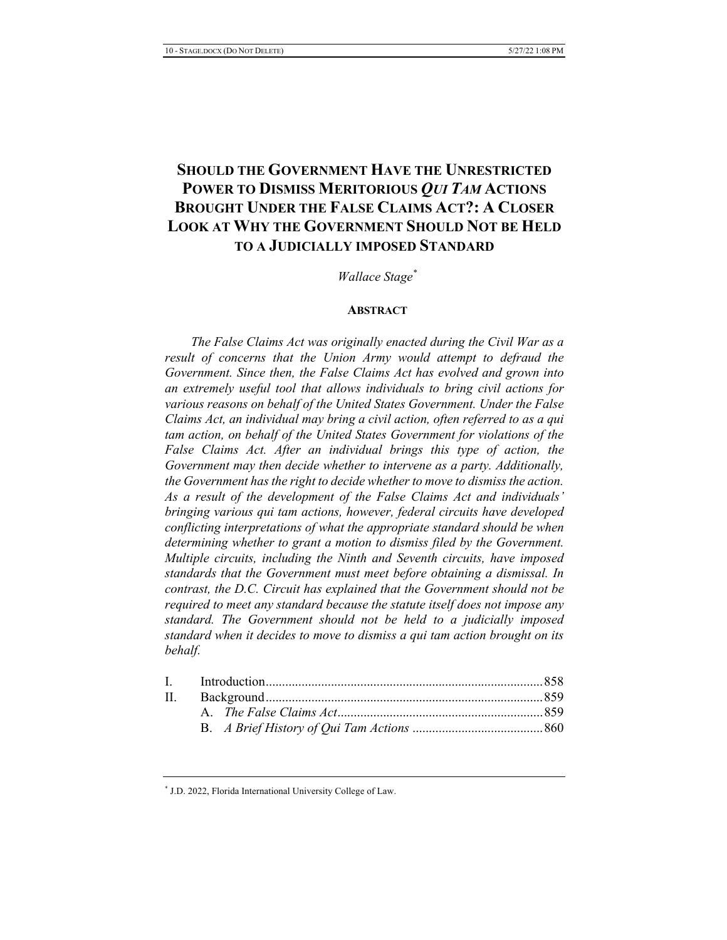# **SHOULD THE GOVERNMENT HAVE THE UNRESTRICTED** POWER TO DISMISS MERITORIOUS OUI TAM ACTIONS **BROUGHT UNDER THE FALSE CLAIMS ACT?: A CLOSER LOOK AT WHY THE GOVERNMENT SHOULD NOT BE HELD TO A JUDICIALLY IMPOSED STANDARD**

# Wallace Stage<sup>\*</sup>

# **ABSTRACT**

The False Claims Act was originally enacted during the Civil War as a result of concerns that the Union Army would attempt to defraud the Government. Since then, the False Claims Act has evolved and grown into an extremely useful tool that allows individuals to bring civil actions for various reasons on behalf of the United States Government. Under the False Claims Act, an individual may bring a civil action, often referred to as a qui tam action, on behalf of the United States Government for violations of the False Claims Act. After an individual brings this type of action, the Government may then decide whether to intervene as a party. Additionally, the Government has the right to decide whether to move to dismiss the action. As a result of the development of the False Claims Act and individuals' bringing various qui tam actions, however, federal circuits have developed conflicting interpretations of what the appropriate standard should be when determining whether to grant a motion to dismiss filed by the Government. Multiple circuits, including the Ninth and Seventh circuits, have imposed standards that the Government must meet before obtaining a dismissal. In contrast, the D.C. Circuit has explained that the Government should not be required to meet any standard because the statute itself does not impose any standard. The Government should not be held to a judicially imposed standard when it decides to move to dismiss a qui tam action brought on its behalf.

\* J.D. 2022, Florida International University College of Law.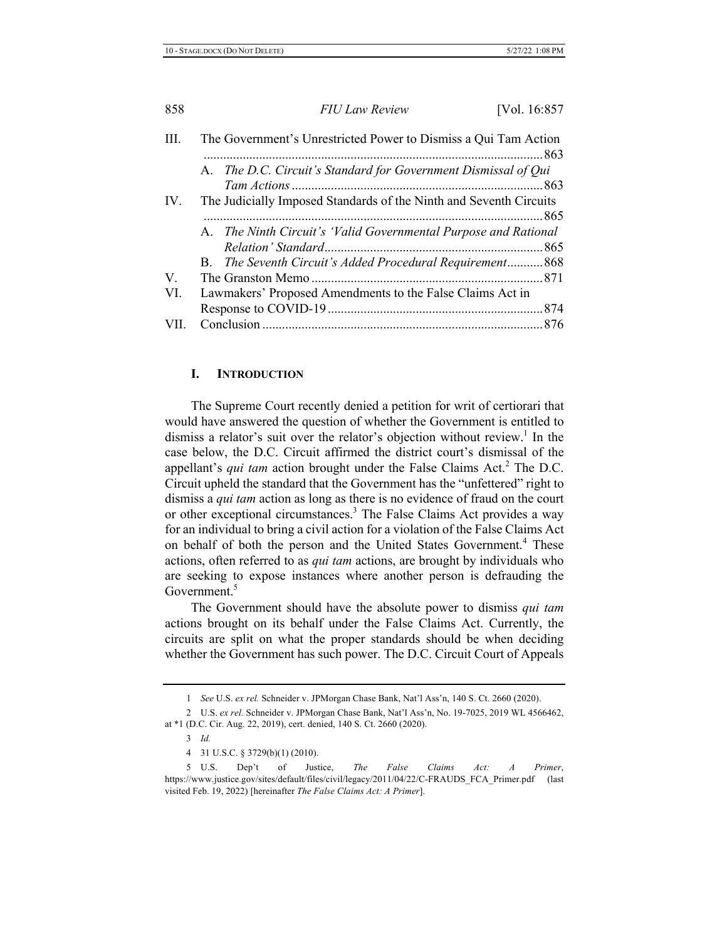| III.        | The Government's Unrestricted Power to Dismiss a Qui Tam Action    |
|-------------|--------------------------------------------------------------------|
|             |                                                                    |
|             | A. The D.C. Circuit's Standard for Government Dismissal of Qui     |
|             |                                                                    |
| IV.         | The Judicially Imposed Standards of the Ninth and Seventh Circuits |
|             |                                                                    |
|             | A. The Ninth Circuit's 'Valid Governmental Purpose and Rational    |
|             |                                                                    |
|             | B. The Seventh Circuit's Added Procedural Requirement 868          |
| $V_{\cdot}$ |                                                                    |
| VI.         | Lawmakers' Proposed Amendments to the False Claims Act in          |
|             |                                                                    |
| VII.        |                                                                    |
|             |                                                                    |

# **I.** INTRODUCTION

The Supreme Court recently denied a petition for writ of certiorari that would have answered the question of whether the Government is entitled to dismiss a relator's suit over the relator's objection without review.<sup>1</sup> In the case below, the D.C. Circuit affirmed the district court's dismissal of the appellant's *qui tam* action brought under the False Claims Act.<sup>2</sup> The D.C. Circuit upheld the standard that the Government has the "unfettered" right to dismiss a *qui tam* action as long as there is no evidence of fraud on the court or other exceptional circumstances.<sup>3</sup> The False Claims Act provides a way for an individual to bring a civil action for a violation of the False Claims Act on behalf of both the person and the United States Government.<sup>4</sup> These actions, often referred to as *qui tam* actions, are brought by individuals who are seeking to expose instances where another person is defrauding the Government.<sup>5</sup>

The Government should have the absolute power to dismiss *qui tam* actions brought on its behalf under the False Claims Act. Currently, the circuits are split on what the proper standards should be when deciding whether the Government has such power. The D.C. Circuit Court of Appeals

<sup>1</sup> See U.S. ex rel. Schneider v. JPMorgan Chase Bank, Nat'l Ass'n, 140 S. Ct. 2660 (2020).

<sup>2</sup> U.S. ex rel. Schneider v. JPMorgan Chase Bank, Nat'l Ass'n, No. 19-7025, 2019 WL 4566462, at \*1 (D.C. Cir. Aug. 22, 2019), cert. denied, 140 S. Ct. 2660 (2020).

<sup>3</sup> *Id.* 

<sup>4 31</sup> U.S.C. § 3729(b)(1) (2010).

<sup>5</sup> U.S. Dep't of Justice, The False Claims Act: A Primer, https://www.justice.gov/sites/default/files/civil/legacy/2011/04/22/C-FRAUDS\_FCA\_Primer.pdf (last visited Feb. 19, 2022) [hereinafter The False Claims Act: A Primer].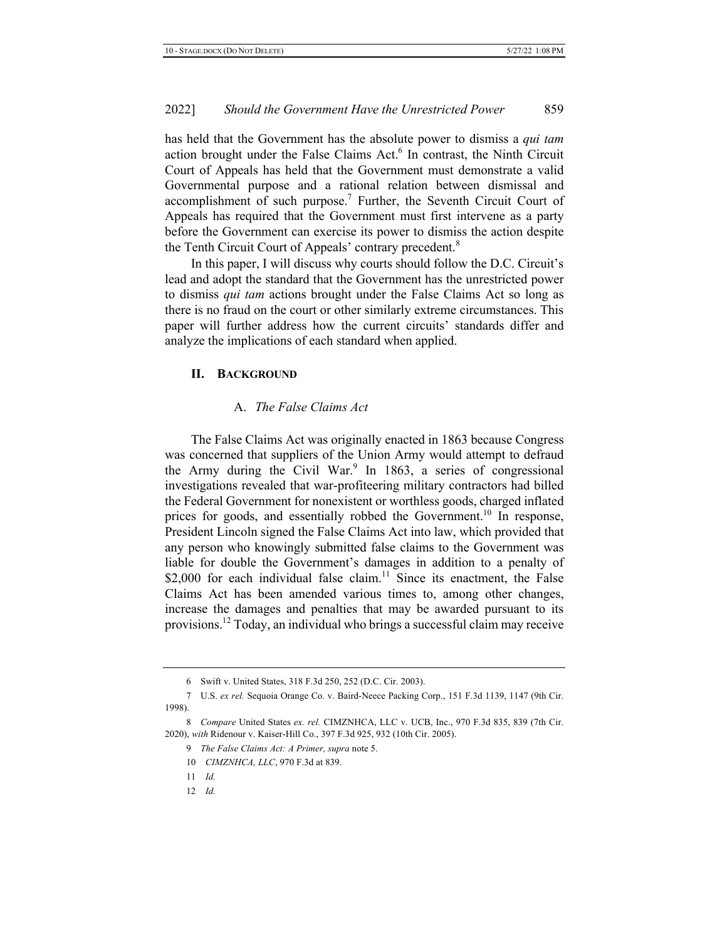has held that the Government has the absolute power to dismiss a qui tam action brought under the False Claims Act.<sup>6</sup> In contrast, the Ninth Circuit Court of Appeals has held that the Government must demonstrate a valid Governmental purpose and a rational relation between dismissal and accomplishment of such purpose.<sup>7</sup> Further, the Seventh Circuit Court of Appeals has required that the Government must first intervene as a party before the Government can exercise its power to dismiss the action despite the Tenth Circuit Court of Appeals' contrary precedent.<sup>8</sup>

In this paper, I will discuss why courts should follow the D.C. Circuit's lead and adopt the standard that the Government has the unrestricted power to dismiss *qui tam* actions brought under the False Claims Act so long as there is no fraud on the court or other similarly extreme circumstances. This paper will further address how the current circuits' standards differ and analyze the implications of each standard when applied.

#### **II.** BACKGROUND

# A. The False Claims Act

The False Claims Act was originally enacted in 1863 because Congress was concerned that suppliers of the Union Army would attempt to defraud the Army during the Civil War.<sup>9</sup> In 1863, a series of congressional investigations revealed that war-profiteering military contractors had billed the Federal Government for nonexistent or worthless goods, charged inflated prices for goods, and essentially robbed the Government.<sup>10</sup> In response, President Lincoln signed the False Claims Act into law, which provided that any person who knowingly submitted false claims to the Government was liable for double the Government's damages in addition to a penalty of \$2,000 for each individual false claim.<sup>11</sup> Since its enactment, the False Claims Act has been amended various times to, among other changes, increase the damages and penalties that may be awarded pursuant to its provisions.<sup>12</sup> Today, an individual who brings a successful claim may receive

<sup>6</sup> Swift v. United States, 318 F.3d 250, 252 (D.C. Cir. 2003).

<sup>7</sup> U.S. ex rel. Sequoia Orange Co. v. Baird-Neece Packing Corp., 151 F.3d 1139, 1147 (9th Cir. 1998).

<sup>8</sup> Compare United States ex. rel. CIMZNHCA, LLC v. UCB, Inc., 970 F.3d 835, 839 (7th Cir. 2020), with Ridenour v. Kaiser-Hill Co., 397 F.3d 925, 932 (10th Cir. 2005).

<sup>9</sup> The False Claims Act: A Primer, supra note 5.

<sup>10</sup> *CIMZNHCA, LLC, 970 F.3d at 839.* 

 $11$  *Id.*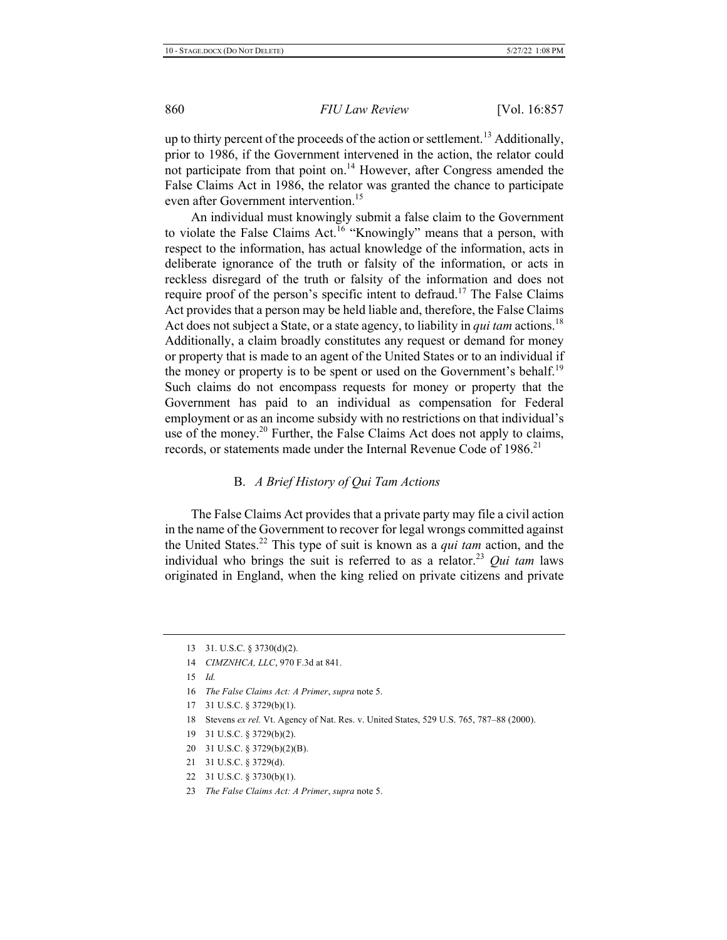up to thirty percent of the proceeds of the action or settlement.<sup>13</sup> Additionally, prior to 1986, if the Government intervened in the action, the relator could not participate from that point on.<sup>14</sup> However, after Congress amended the False Claims Act in 1986, the relator was granted the chance to participate even after Government intervention.<sup>15</sup>

An individual must knowingly submit a false claim to the Government to violate the False Claims Act.<sup>16</sup> "Knowingly" means that a person, with respect to the information, has actual knowledge of the information, acts in deliberate ignorance of the truth or falsity of the information, or acts in reckless disregard of the truth or falsity of the information and does not require proof of the person's specific intent to defraud.<sup>17</sup> The False Claims Act provides that a person may be held liable and, therefore, the False Claims Act does not subject a State, or a state agency, to liability in *qui tam* actions.<sup>18</sup> Additionally, a claim broadly constitutes any request or demand for money or property that is made to an agent of the United States or to an individual if the money or property is to be spent or used on the Government's behalf.<sup>19</sup> Such claims do not encompass requests for money or property that the Government has paid to an individual as compensation for Federal employment or as an income subsidy with no restrictions on that individual's use of the money.<sup>20</sup> Further, the False Claims Act does not apply to claims, records, or statements made under the Internal Revenue Code of 1986.<sup>21</sup>

#### **B.** A Brief History of Qui Tam Actions

The False Claims Act provides that a private party may file a civil action in the name of the Government to recover for legal wrongs committed against the United States.<sup>22</sup> This type of suit is known as a *qui tam* action, and the individual who brings the suit is referred to as a relator.<sup>23</sup> *Qui tam* laws originated in England, when the king relied on private citizens and private

- 20 31 U.S.C. § 3729(b)(2)(B).
- 21 31 U.S.C. § 3729(d).
- 22 31 U.S.C. § 3730(b)(1).
- 23 The False Claims Act: A Primer, supra note 5.

<sup>13</sup>  $31. U.S.C. § 3730(d)(2)$ .

<sup>14</sup> *CIMZNHCA, LLC, 970 F.3d at 841.* 

 $15$  *Id.* 

<sup>16</sup> The False Claims Act: A Primer, supra note 5.

<sup>17 31</sup> U.S.C.  $\S$  3729(b)(1).

<sup>18</sup> Stevens ex rel. Vt. Agency of Nat. Res. v. United States, 529 U.S. 765, 787-88 (2000).

<sup>19 31</sup> U.S.C. § 3729(b)(2).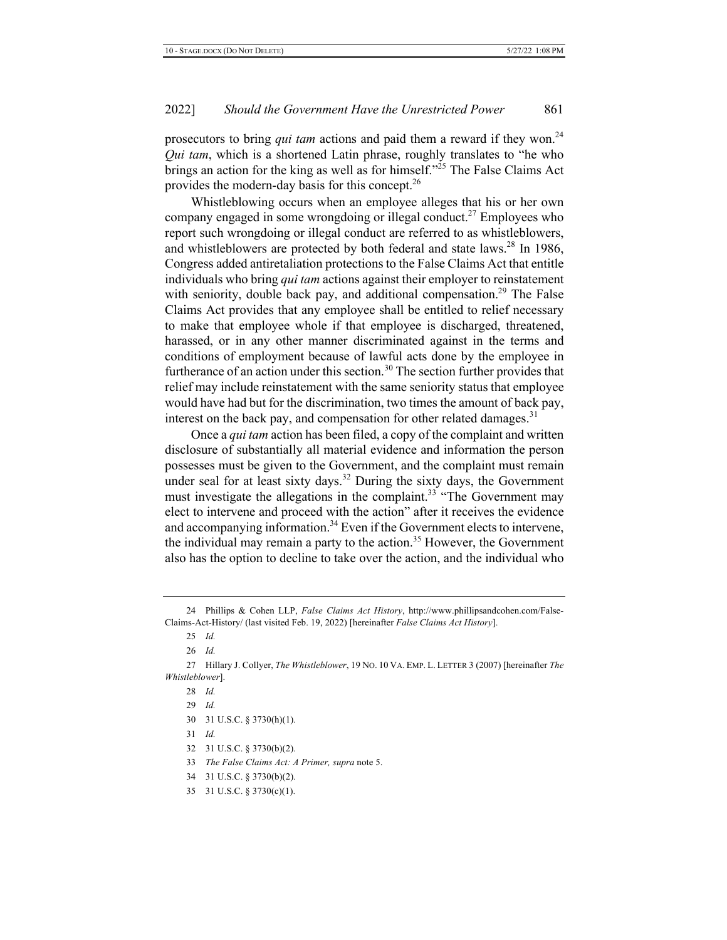prosecutors to bring *qui tam* actions and paid them a reward if they won.<sup>24</sup> *Qui tam*, which is a shortened Latin phrase, roughly translates to "he who brings an action for the king as well as for himself."<sup>25</sup> The False Claims Act provides the modern-day basis for this concept.<sup>26</sup>

Whistleblowing occurs when an employee alleges that his or her own company engaged in some wrongdoing or illegal conduct.<sup>27</sup> Employees who report such wrongdoing or illegal conduct are referred to as whistleblowers, and whistleblowers are protected by both federal and state laws.<sup>28</sup> In 1986, Congress added antiretaliation protections to the False Claims Act that entitle individuals who bring *qui tam* actions against their employer to reinstatement with seniority, double back pay, and additional compensation.<sup>29</sup> The False Claims Act provides that any employee shall be entitled to relief necessary to make that employee whole if that employee is discharged, threatened, harassed, or in any other manner discriminated against in the terms and conditions of employment because of lawful acts done by the employee in furtherance of an action under this section.<sup>30</sup> The section further provides that relief may include reinstatement with the same seniority status that employee would have had but for the discrimination, two times the amount of back pay, interest on the back pay, and compensation for other related damages.<sup>31</sup>

Once a *qui tam* action has been filed, a copy of the complaint and written disclosure of substantially all material evidence and information the person possesses must be given to the Government, and the complaint must remain under seal for at least sixty days.<sup>32</sup> During the sixty days, the Government must investigate the allegations in the complaint.<sup>33</sup> "The Government may elect to intervene and proceed with the action" after it receives the evidence and accompanying information.<sup>34</sup> Even if the Government elects to intervene, the individual may remain a party to the action.<sup>35</sup> However, the Government also has the option to decline to take over the action, and the individual who

<sup>24</sup> Phillips & Cohen LLP, *False Claims Act History*, http://www.phillipsandcohen.com/False-Claims-Act-History/ (last visited Feb. 19, 2022) [hereinafter False Claims Act History].

<sup>25</sup> Id.

<sup>26</sup> Id.

<sup>27</sup> Hillary J. Collyer, The Whistleblower, 19 No. 10 VA. EMP. L. LETTER 3 (2007) [hereinafter The  $Whistleblower$ ].

<sup>28</sup> Id.

<sup>29</sup> Id.

<sup>30 31</sup> U.S.C. § 3730(h)(1).

 $31$  *Id.* 

<sup>32 31</sup> U.S.C. § 3730(b)(2).

<sup>33</sup> The False Claims Act: A Primer, supra note 5.

<sup>34 31</sup> U.S.C. § 3730(b)(2).

<sup>35 31</sup> U.S.C.  $\S 3730(c)(1)$ .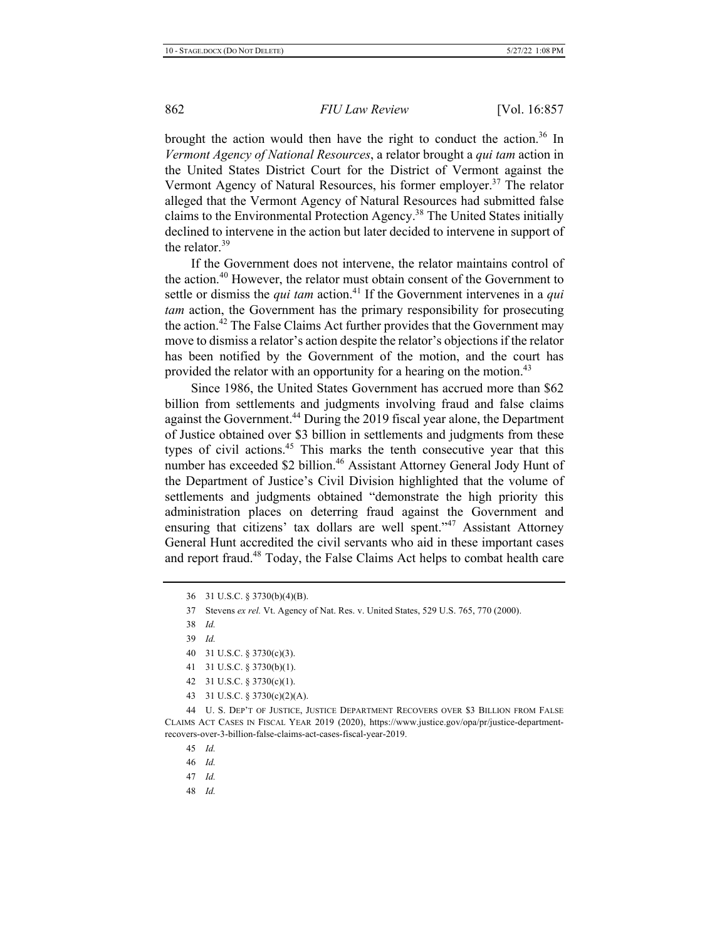brought the action would then have the right to conduct the action.<sup>36</sup> In *Vermont Agency of National Resources, a relator brought a qui tam action in* the United States District Court for the District of Vermont against the Vermont Agency of Natural Resources, his former employer.<sup>37</sup> The relator alleged that the Vermont Agency of Natural Resources had submitted false claims to the Environmental Protection Agency.<sup>38</sup> The United States initially declined to intervene in the action but later decided to intervene in support of the relator.<sup>39</sup>

If the Government does not intervene, the relator maintains control of the action.<sup>40</sup> However, the relator must obtain consent of the Government to settle or dismiss the *qui tam* action.<sup>41</sup> If the Government intervenes in a *qui tam* action, the Government has the primary responsibility for prosecuting the action.<sup>42</sup> The False Claims Act further provides that the Government may move to dismiss a relator's action despite the relator's objections if the relator has been notified by the Government of the motion, and the court has provided the relator with an opportunity for a hearing on the motion.<sup>43</sup>

Since 1986, the United States Government has accrued more than \$62 billion from settlements and judgments involving fraud and false claims against the Government.<sup>44</sup> During the 2019 fiscal year alone, the Department of Justice obtained over \$3 billion in settlements and judgments from these types of civil actions.<sup>45</sup> This marks the tenth consecutive year that this number has exceeded \$2 billion.<sup>46</sup> Assistant Attorney General Jody Hunt of the Department of Justice's Civil Division highlighted that the volume of settlements and judgments obtained "demonstrate the high priority this administration places on deterring fraud against the Government and ensuring that citizens' tax dollars are well spent."<sup>47</sup> Assistant Attorney General Hunt accredited the civil servants who aid in these important cases and report fraud.<sup>48</sup> Today, the False Claims Act helps to combat health care

- 41 31 U.S.C. § 3730(b)(1).
- 42 31 U.S.C. § 3730(c)(1).
- 43 31 U.S.C. § 3730(c)(2)(A).

44 U.S. DEP'T OF JUSTICE, JUSTICE DEPARTMENT RECOVERS OVER \$3 BILLION FROM FALSE CLAIMS ACT CASES IN FISCAL YEAR 2019 (2020), https://www.justice.gov/opa/pr/justice-departmentrecovers-over-3-billion-false-claims-act-cases-fiscal-year-2019.

- 46 Id.
- 47 *Id.*
- 48 Id.

<sup>36 31</sup> U.S.C. § 3730(b)(4)(B).

<sup>37</sup> Stevens ex rel. Vt. Agency of Nat. Res. v. United States, 529 U.S. 765, 770 (2000).

<sup>38</sup> Id.

<sup>39</sup> Id.

<sup>40 31</sup> U.S.C. §  $3730(c)(3)$ .

<sup>45</sup> *Id.*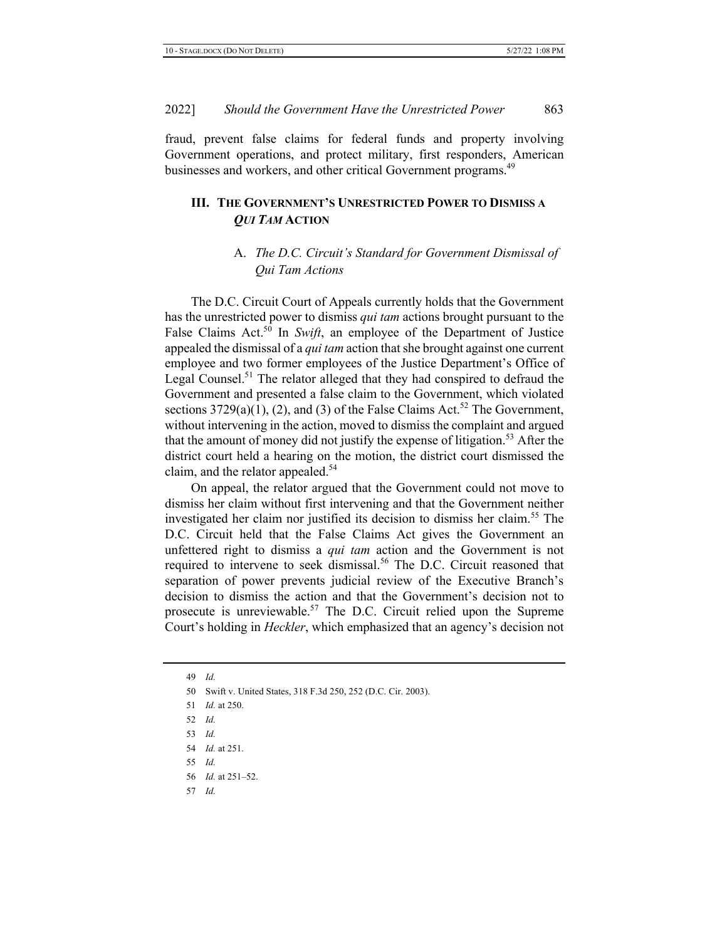fraud, prevent false claims for federal funds and property involving Government operations, and protect military, first responders, American businesses and workers, and other critical Government programs.<sup>49</sup>

# III. THE GOVERNMENT'S UNRESTRICTED POWER TO DISMISS A QUI TAM ACTION

# A. The D.C. Circuit's Standard for Government Dismissal of *Oui Tam Actions*

The D.C. Circuit Court of Appeals currently holds that the Government has the unrestricted power to dismiss *qui tam* actions brought pursuant to the False Claims Act.<sup>50</sup> In Swift, an employee of the Department of Justice appealed the dismissal of a *qui tam* action that she brought against one current employee and two former employees of the Justice Department's Office of Legal Counsel.<sup>51</sup> The relator alleged that they had conspired to defraud the Government and presented a false claim to the Government, which violated sections  $3729(a)(1)$ , (2), and (3) of the False Claims Act.<sup>52</sup> The Government, without intervening in the action, moved to dismiss the complaint and argued that the amount of money did not justify the expense of litigation.<sup>53</sup> After the district court held a hearing on the motion, the district court dismissed the claim, and the relator appealed.<sup>54</sup>

On appeal, the relator argued that the Government could not move to dismiss her claim without first intervening and that the Government neither investigated her claim nor justified its decision to dismiss her claim.<sup>55</sup> The D.C. Circuit held that the False Claims Act gives the Government an unfettered right to dismiss a *qui tam* action and the Government is not required to intervene to seek dismissal.<sup>56</sup> The D.C. Circuit reasoned that separation of power prevents judicial review of the Executive Branch's decision to dismiss the action and that the Government's decision not to prosecute is unreviewable.<sup>57</sup> The D.C. Circuit relied upon the Supreme Court's holding in *Heckler*, which emphasized that an agency's decision not

49 Id. 50 Swift v. United States, 318 F.3d 250, 252 (D.C. Cir. 2003). 51 *Id.* at 250. 52 *Id.* 53 *Id.* 54 *Id.* at 251. 55 *Id.*  $56$  *Id.* at  $251 - 52$ . 57 *Id.*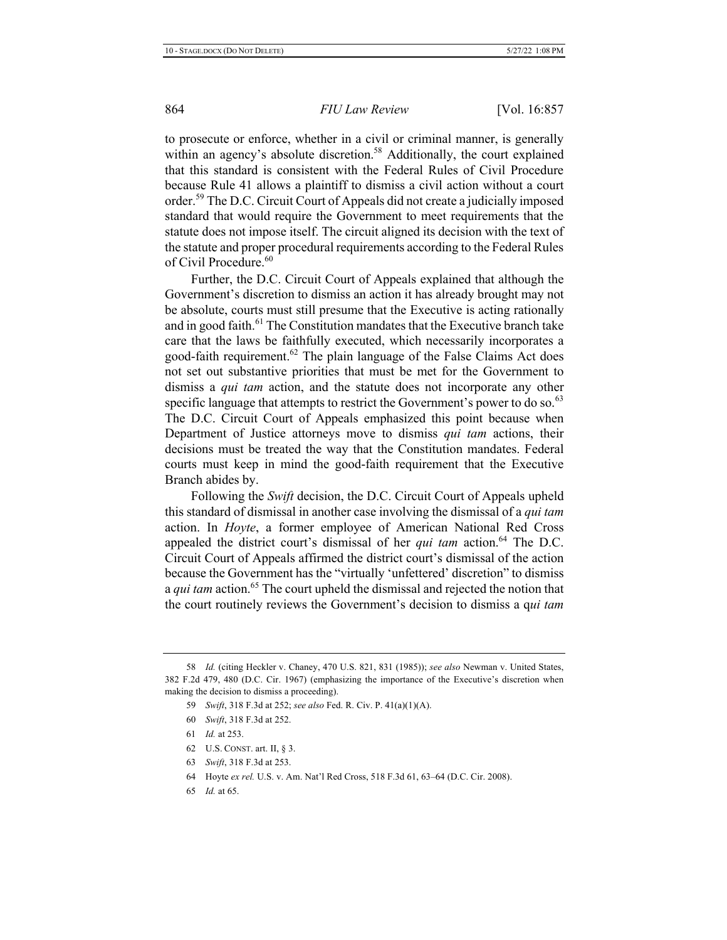to prosecute or enforce, whether in a civil or criminal manner, is generally within an agency's absolute discretion.<sup>58</sup> Additionally, the court explained that this standard is consistent with the Federal Rules of Civil Procedure because Rule 41 allows a plaintiff to dismiss a civil action without a court order.<sup>59</sup> The D.C. Circuit Court of Appeals did not create a judicially imposed standard that would require the Government to meet requirements that the statute does not impose itself. The circuit aligned its decision with the text of the statute and proper procedural requirements according to the Federal Rules of Civil Procedure.<sup>60</sup>

Further, the D.C. Circuit Court of Appeals explained that although the Government's discretion to dismiss an action it has already brought may not be absolute, courts must still presume that the Executive is acting rationally and in good faith.<sup>61</sup> The Constitution mandates that the Executive branch take care that the laws be faithfully executed, which necessarily incorporates a good-faith requirement.<sup>62</sup> The plain language of the False Claims Act does not set out substantive priorities that must be met for the Government to dismiss a *qui tam* action, and the statute does not incorporate any other specific language that attempts to restrict the Government's power to do so.<sup>63</sup> The D.C. Circuit Court of Appeals emphasized this point because when Department of Justice attorneys move to dismiss *qui tam* actions, their decisions must be treated the way that the Constitution mandates. Federal courts must keep in mind the good-faith requirement that the Executive Branch abides by.

Following the *Swift* decision, the D.C. Circuit Court of Appeals upheld this standard of dismissal in another case involving the dismissal of a *qui tam* action. In *Hoyte*, a former employee of American National Red Cross appealed the district court's dismissal of her *qui tam* action.<sup>64</sup> The D.C. Circuit Court of Appeals affirmed the district court's dismissal of the action because the Government has the "virtually 'unfettered' discretion" to dismiss a *qui tam* action.<sup>65</sup> The court upheld the dismissal and rejected the notion that the court routinely reviews the Government's decision to dismiss a qui tam

65 *Id.* at 65.

<sup>58</sup> *Id.* (citing Heckler v. Chaney, 470 U.S. 821, 831 (1985)); see also Newman v. United States, 382 F.2d 479, 480 (D.C. Cir. 1967) (emphasizing the importance of the Executive's discretion when making the decision to dismiss a proceeding).

<sup>59</sup> *Swift*, 318 F.3d at 252; see also Fed. R. Civ. P. 41(a)(1)(A).

<sup>60</sup> Swift, 318 F.3d at 252.

<sup>61</sup> *Id.* at 253.

<sup>62</sup> U.S. CONST. art. II,  $§$  3.

<sup>63</sup> *Swift*, 318 F.3d at 253.

<sup>64</sup> Hoyte ex rel. U.S. v. Am. Nat'l Red Cross, 518 F.3d 61, 63-64 (D.C. Cir. 2008).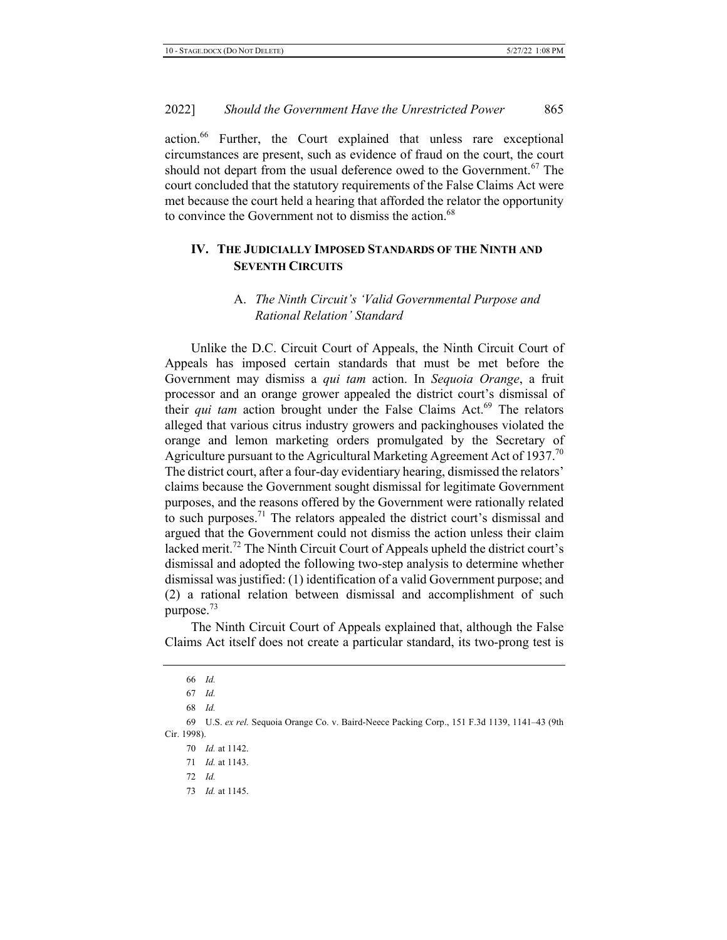action.<sup>66</sup> Further, the Court explained that unless rare exceptional circumstances are present, such as evidence of fraud on the court, the court should not depart from the usual deference owed to the Government.<sup>67</sup> The court concluded that the statutory requirements of the False Claims Act were met because the court held a hearing that afforded the relator the opportunity to convince the Government not to dismiss the action.<sup>68</sup>

# IV. THE JUDICIALLY IMPOSED STANDARDS OF THE NINTH AND **SEVENTH CIRCUITS**

# A. The Ninth Circuit's 'Valid Governmental Purpose and **Rational Relation' Standard**

Unlike the D.C. Circuit Court of Appeals, the Ninth Circuit Court of Appeals has imposed certain standards that must be met before the Government may dismiss a *qui tam* action. In Sequoia Orange, a fruit processor and an orange grower appealed the district court's dismissal of their *qui tam* action brought under the False Claims Act.<sup>69</sup> The relators alleged that various citrus industry growers and packinghouses violated the orange and lemon marketing orders promulgated by the Secretary of Agriculture pursuant to the Agricultural Marketing Agreement Act of 1937.<sup>70</sup> The district court, after a four-day evidentiary hearing, dismissed the relators' claims because the Government sought dismissal for legitimate Government purposes, and the reasons offered by the Government were rationally related to such purposes.<sup>71</sup> The relators appealed the district court's dismissal and argued that the Government could not dismiss the action unless their claim lacked merit.<sup>72</sup> The Ninth Circuit Court of Appeals upheld the district court's dismissal and adopted the following two-step analysis to determine whether dismissal was justified: (1) identification of a valid Government purpose; and  $(2)$  a rational relation between dismissal and accomplishment of such purpose. $^{73}$ 

The Ninth Circuit Court of Appeals explained that, although the False Claims Act itself does not create a particular standard, its two-prong test is

73 *Id.* at 1145.

<sup>66</sup> Id.

<sup>67</sup> *Id.* 

<sup>68</sup> Id.

<sup>69</sup> U.S. ex rel. Sequoia Orange Co. v. Baird-Neece Packing Corp., 151 F.3d 1139, 1141-43 (9th Cir. 1998).

<sup>70</sup> *Id.* at 1142.

<sup>71</sup> *Id.* at 1143.

<sup>72</sup> *Id.*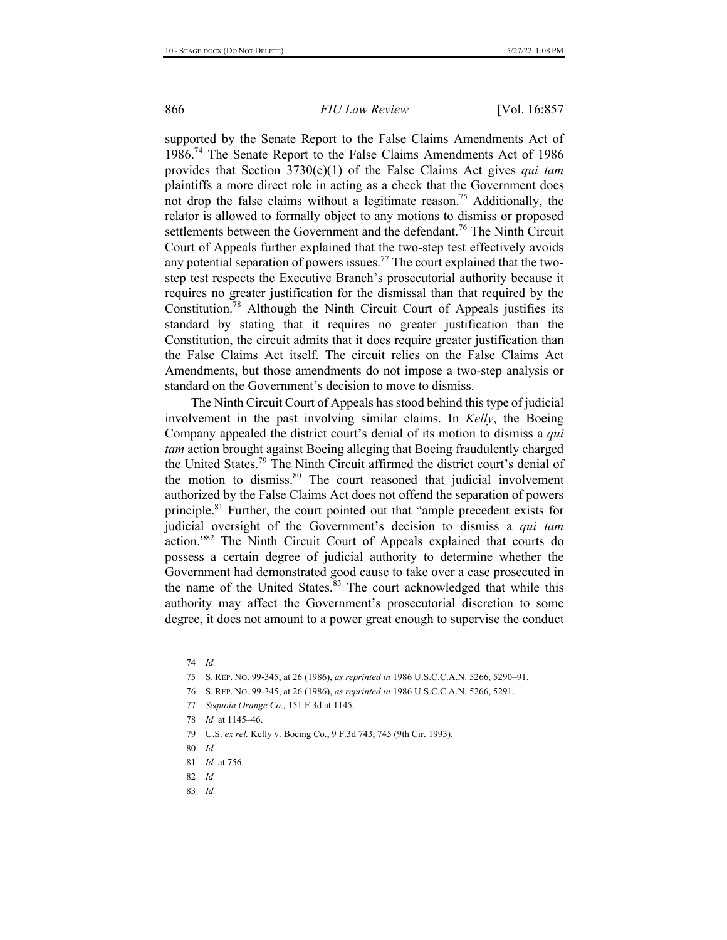supported by the Senate Report to the False Claims Amendments Act of 1986.<sup>74</sup> The Senate Report to the False Claims Amendments Act of 1986 provides that Section 3730(c)(1) of the False Claims Act gives *qui tam* plaintiffs a more direct role in acting as a check that the Government does not drop the false claims without a legitimate reason.<sup>75</sup> Additionally, the relator is allowed to formally object to any motions to dismiss or proposed settlements between the Government and the defendant.<sup>76</sup> The Ninth Circuit Court of Appeals further explained that the two-step test effectively avoids any potential separation of powers issues.<sup>77</sup> The court explained that the twostep test respects the Executive Branch's prosecutorial authority because it requires no greater justification for the dismissal than that required by the Constitution.<sup>78</sup> Although the Ninth Circuit Court of Appeals justifies its standard by stating that it requires no greater justification than the Constitution, the circuit admits that it does require greater justification than the False Claims Act itself. The circuit relies on the False Claims Act Amendments, but those amendments do not impose a two-step analysis or standard on the Government's decision to move to dismiss.

The Ninth Circuit Court of Appeals has stood behind this type of judicial involvement in the past involving similar claims. In *Kelly*, the Boeing Company appealed the district court's denial of its motion to dismiss a *qui*  $tan$  action brought against Boeing alleging that Boeing fraudulently charged the United States.<sup>79</sup> The Ninth Circuit affirmed the district court's denial of the motion to dismiss.<sup>80</sup> The court reasoned that judicial involvement authorized by the False Claims Act does not offend the separation of powers principle.<sup>81</sup> Further, the court pointed out that "ample precedent exists for judicial oversight of the Government's decision to dismiss a *qui tam* action."<sup>82</sup> The Ninth Circuit Court of Appeals explained that courts do possess a certain degree of judicial authority to determine whether the Government had demonstrated good cause to take over a case prosecuted in the name of the United States.<sup>83</sup> The court acknowledged that while this authority may affect the Government's prosecutorial discretion to some degree, it does not amount to a power great enough to supervise the conduct

- 76 S. REP. No. 99-345, at 26 (1986), as reprinted in 1986 U.S.C.C.A.N. 5266, 5291.
- 77 Sequoia Orange Co., 151 F.3d at 1145.
- 78 *Id.* at 1145–46.
- 79 U.S. ex rel. Kelly v. Boeing Co., 9 F.3d 743, 745 (9th Cir. 1993).
- 80 Id.
- 81 *Id.* at 756.
- 82 Id.
- 83 *Id.*

<sup>74</sup> Id.

<sup>75</sup> S. REP. No. 99-345, at 26 (1986), as reprinted in 1986 U.S.C.C.A.N. 5266, 5290-91.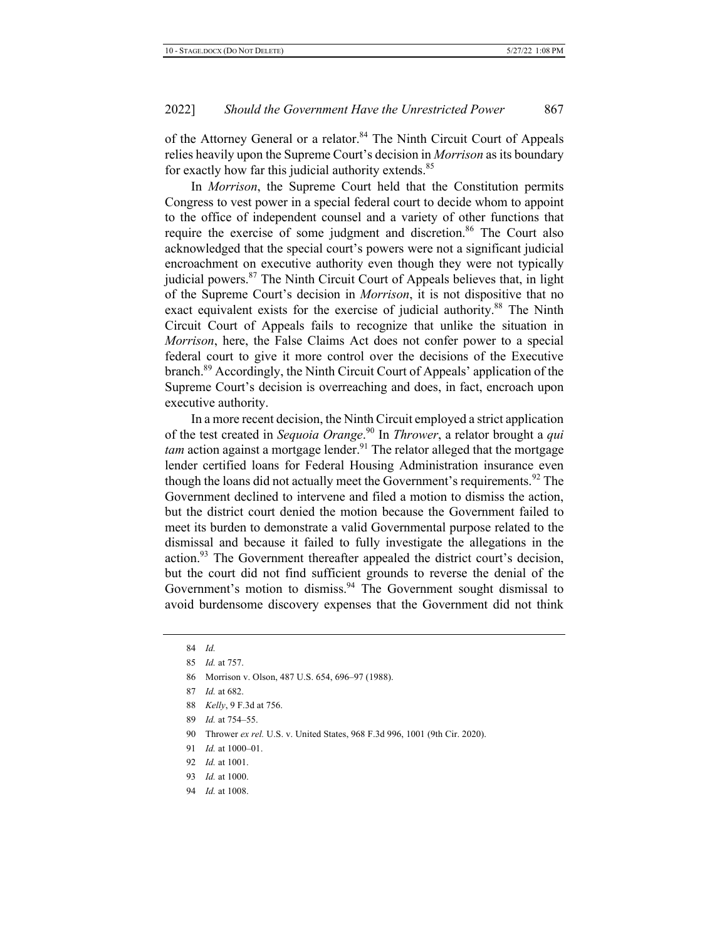of the Attorney General or a relator.<sup>84</sup> The Ninth Circuit Court of Appeals relies heavily upon the Supreme Court's decision in *Morrison* as its boundary for exactly how far this judicial authority extends.<sup>85</sup>

In *Morrison*, the Supreme Court held that the Constitution permits Congress to vest power in a special federal court to decide whom to appoint to the office of independent counsel and a variety of other functions that require the exercise of some judgment and discretion.<sup>86</sup> The Court also acknowledged that the special court's powers were not a significant judicial encroachment on executive authority even though they were not typically judicial powers.<sup>87</sup> The Ninth Circuit Court of Appeals believes that, in light of the Supreme Court's decision in *Morrison*, it is not dispositive that no exact equivalent exists for the exercise of judicial authority.<sup>88</sup> The Ninth Circuit Court of Appeals fails to recognize that unlike the situation in *Morrison*, here, the False Claims Act does not confer power to a special federal court to give it more control over the decisions of the Executive branch.<sup>89</sup> Accordingly, the Ninth Circuit Court of Appeals' application of the Supreme Court's decision is overreaching and does, in fact, encroach upon executive authority.

In a more recent decision, the Ninth Circuit employed a strict application of the test created in *Sequoia Orange*.<sup>90</sup> In *Thrower*, a relator brought a *qui tam* action against a mortgage lender.<sup>91</sup> The relator alleged that the mortgage lender certified loans for Federal Housing Administration insurance even though the loans did not actually meet the Government's requirements.<sup>92</sup> The Government declined to intervene and filed a motion to dismiss the action, but the district court denied the motion because the Government failed to meet its burden to demonstrate a valid Governmental purpose related to the dismissal and because it failed to fully investigate the allegations in the action.<sup>93</sup> The Government thereafter appealed the district court's decision, but the court did not find sufficient grounds to reverse the denial of the Government's motion to dismiss.<sup>94</sup> The Government sought dismissal to avoid burdensome discovery expenses that the Government did not think

- 86 Morrison v. Olson, 487 U.S. 654, 696-97 (1988).
- 87 *Id.* at 682.
- 88 *Kelly*, 9 F.3d at 756.
- 89 *Id.* at 754–55.

- 91  $Id$ , at 1000-01.
- 92 *Id.* at 1001.
- 93 *Id.* at 1000.
- 94 *Id.* at 1008.

<sup>84</sup> Id. 85 *Id.* at 757.

<sup>90</sup> Thrower ex rel. U.S. v. United States, 968 F.3d 996, 1001 (9th Cir. 2020).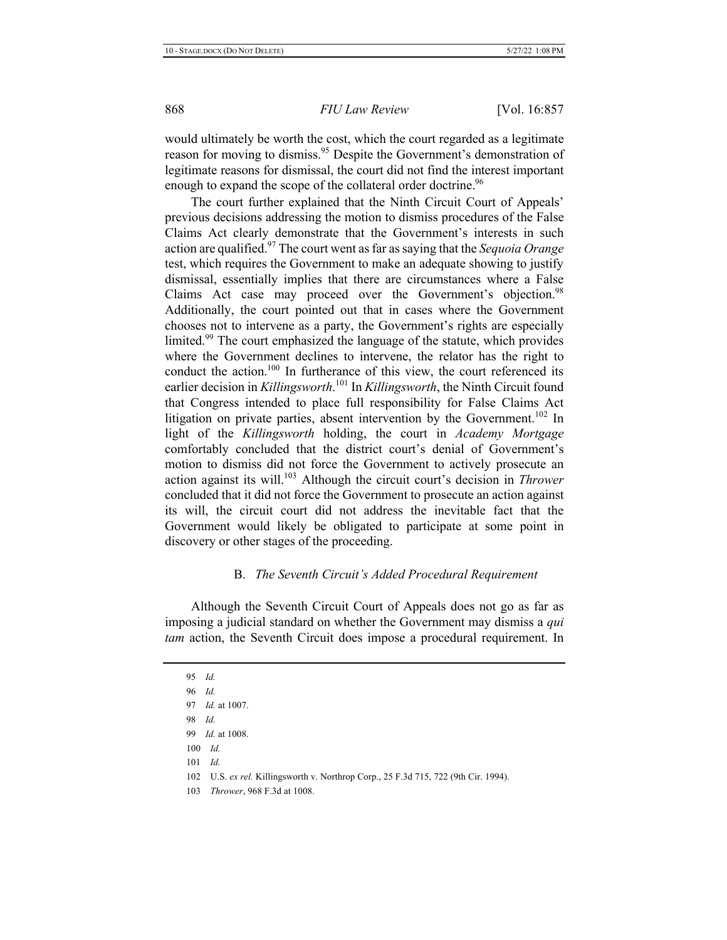would ultimately be worth the cost, which the court regarded as a legitimate reason for moving to dismiss.<sup>95</sup> Despite the Government's demonstration of legitimate reasons for dismissal, the court did not find the interest important enough to expand the scope of the collateral order doctrine.<sup>96</sup>

The court further explained that the Ninth Circuit Court of Appeals' previous decisions addressing the motion to dismiss procedures of the False Claims Act clearly demonstrate that the Government's interests in such action are qualified.<sup>97</sup> The court went as far as saying that the *Sequoia Orange* test, which requires the Government to make an adequate showing to justify dismissal, essentially implies that there are circumstances where a False Claims Act case may proceed over the Government's objection.<sup>98</sup> Additionally, the court pointed out that in cases where the Government chooses not to intervene as a party, the Government's rights are especially limited.<sup>99</sup> The court emphasized the language of the statute, which provides where the Government declines to intervene, the relator has the right to conduct the action.<sup>100</sup> In furtherance of this view, the court referenced its earlier decision in *Killingsworth*.<sup>101</sup> In *Killingsworth*, the Ninth Circuit found that Congress intended to place full responsibility for False Claims Act litigation on private parties, absent intervention by the Government.<sup>102</sup> In light of the Killingsworth holding, the court in Academy Mortgage comfortably concluded that the district court's denial of Government's motion to dismiss did not force the Government to actively prosecute an action against its will.<sup>103</sup> Although the circuit court's decision in Thrower concluded that it did not force the Government to prosecute an action against its will, the circuit court did not address the inevitable fact that the Government would likely be obligated to participate at some point in discovery or other stages of the proceeding.

# **B.** *The Seventh Circuit's Added Procedural Requirement*

Although the Seventh Circuit Court of Appeals does not go as far as imposing a judicial standard on whether the Government may dismiss a qui *tam* action, the Seventh Circuit does impose a procedural requirement. In

95 Id. 96 Id. 97 *Id.* at 1007. 98 Id. 99 *Id.* at 1008.  $100$  *Id.*  $101$  *Id.* 102 U.S. ex rel. Killingsworth v. Northrop Corp., 25 F.3d 715, 722 (9th Cir. 1994). 103 Thrower, 968 F.3d at 1008.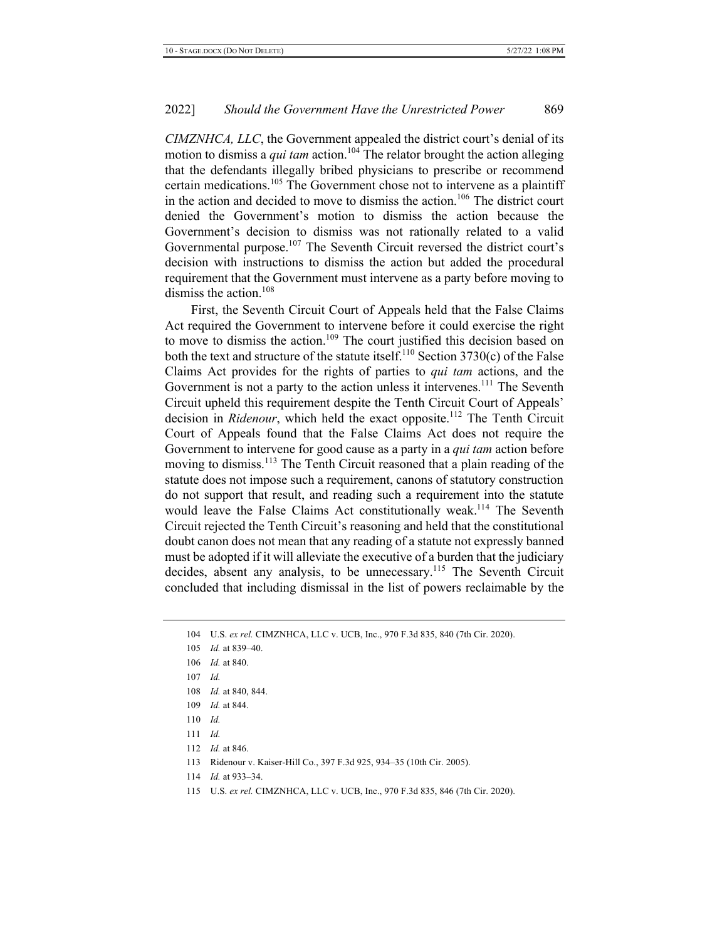*CIMZNHCA, LLC,* the Government appealed the district court's denial of its motion to dismiss a *qui tam* action.<sup>104</sup> The relator brought the action alleging that the defendants illegally bribed physicians to prescribe or recommend certain medications.<sup>105</sup> The Government chose not to intervene as a plaintiff in the action and decided to move to dismiss the action.<sup>106</sup> The district court denied the Government's motion to dismiss the action because the Government's decision to dismiss was not rationally related to a valid Governmental purpose.<sup>107</sup> The Seventh Circuit reversed the district court's decision with instructions to dismiss the action but added the procedural requirement that the Government must intervene as a party before moving to dismiss the action. $108$ 

First, the Seventh Circuit Court of Appeals held that the False Claims Act required the Government to intervene before it could exercise the right to move to dismiss the action.<sup>109</sup> The court justified this decision based on both the text and structure of the statute itself.<sup>110</sup> Section 3730(c) of the False Claims Act provides for the rights of parties to *qui tam* actions, and the Government is not a party to the action unless it intervenes.<sup>111</sup> The Seventh Circuit upheld this requirement despite the Tenth Circuit Court of Appeals' decision in *Ridenour*, which held the exact opposite.<sup>112</sup> The Tenth Circuit Court of Appeals found that the False Claims Act does not require the Government to intervene for good cause as a party in a *qui tam* action before moving to dismiss.<sup>113</sup> The Tenth Circuit reasoned that a plain reading of the statute does not impose such a requirement, canons of statutory construction do not support that result, and reading such a requirement into the statute would leave the False Claims Act constitutionally weak.<sup>114</sup> The Seventh Circuit rejected the Tenth Circuit's reasoning and held that the constitutional doubt canon does not mean that any reading of a statute not expressly banned must be adopted if it will alleviate the executive of a burden that the judiciary decides, absent any analysis, to be unnecessary.<sup>115</sup> The Seventh Circuit concluded that including dismissal in the list of powers reclaimable by the

104 U.S. ex rel. CIMZNHCA, LLC v. UCB, Inc., 970 F.3d 835, 840 (7th Cir. 2020). 105 *Id.* at 839–40. 106 *Id.* at 840.  $107$  *Id.* 108 *Id.* at 840, 844. 109 *Id.* at 844.  $110$  *Id.*  $111$  *Id.* 112 *Id.* at 846. 113 Ridenour v. Kaiser-Hill Co., 397 F.3d 925, 934-35 (10th Cir. 2005).

- 114 *Id.* at 933-34.
- 115 U.S. ex rel. CIMZNHCA, LLC v. UCB, Inc., 970 F.3d 835, 846 (7th Cir. 2020).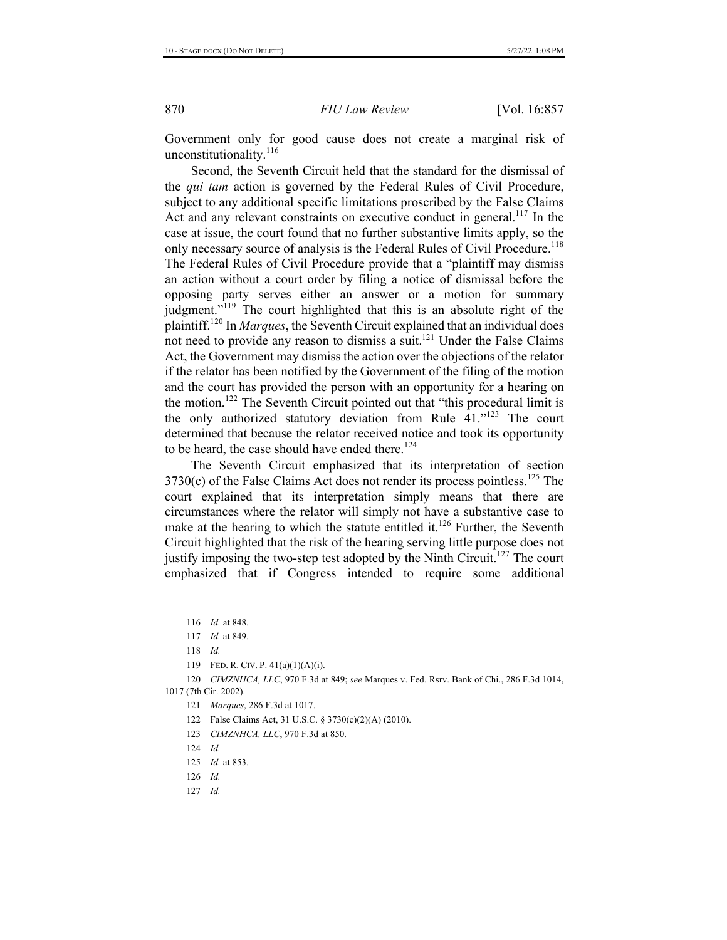Government only for good cause does not create a marginal risk of unconstitutionality.<sup>116</sup>

Second, the Seventh Circuit held that the standard for the dismissal of the *qui tam* action is governed by the Federal Rules of Civil Procedure, subject to any additional specific limitations proscribed by the False Claims Act and any relevant constraints on executive conduct in general.<sup>117</sup> In the case at issue, the court found that no further substantive limits apply, so the only necessary source of analysis is the Federal Rules of Civil Procedure.<sup>118</sup> The Federal Rules of Civil Procedure provide that a "plaintiff may dismiss" an action without a court order by filing a notice of dismissal before the opposing party serves either an answer or a motion for summary judgment."<sup>119</sup> The court highlighted that this is an absolute right of the plaintiff.<sup>120</sup> In *Marques*, the Seventh Circuit explained that an individual does not need to provide any reason to dismiss a suit.<sup>121</sup> Under the False Claims Act, the Government may dismiss the action over the objections of the relator if the relator has been notified by the Government of the filing of the motion and the court has provided the person with an opportunity for a hearing on the motion.<sup>122</sup> The Seventh Circuit pointed out that "this procedural limit is the only authorized statutory deviation from Rule  $41.^{123}$  The court determined that because the relator received notice and took its opportunity to be heard, the case should have ended there.<sup>124</sup>

The Seventh Circuit emphasized that its interpretation of section 3730(c) of the False Claims Act does not render its process pointless.<sup>125</sup> The court explained that its interpretation simply means that there are circumstances where the relator will simply not have a substantive case to make at the hearing to which the statute entitled it.<sup>126</sup> Further, the Seventh Circuit highlighted that the risk of the hearing serving little purpose does not justify imposing the two-step test adopted by the Ninth Circuit.<sup>127</sup> The court emphasized that if Congress intended to require some additional

118 Id.

- 126 Id.
- $127$  *Id.*

<sup>116</sup> *Id.* at 848.

<sup>117</sup> *Id.* at 849.

<sup>119</sup> FED. R. CIV. P.  $41(a)(1)(A)(i)$ .

<sup>120</sup> *CIMZNHCA, LLC*, 970 F.3d at 849; see Marques v. Fed. Rsrv. Bank of Chi., 286 F.3d 1014, 1017 (7th Cir. 2002).

<sup>121</sup> *Marques*, 286 F.3d at 1017.

<sup>122</sup> False Claims Act, 31 U.S.C. § 3730(c)(2)(A) (2010).

<sup>123</sup> *CIMZNHCA, LLC, 970 F.3d at 850.* 

<sup>125</sup> *Id.* at 853.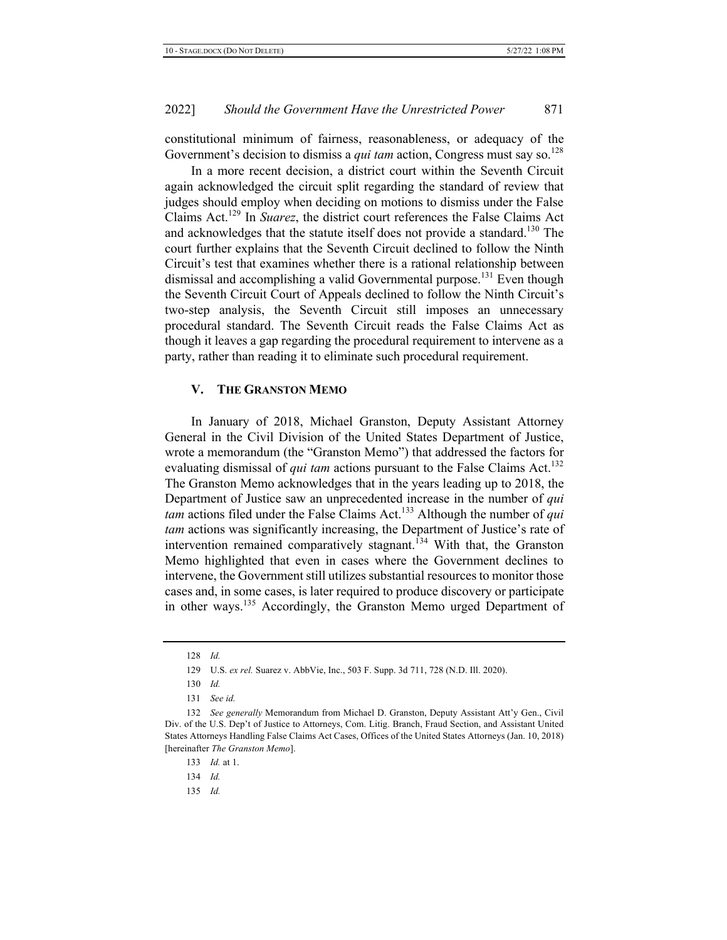constitutional minimum of fairness, reasonableness, or adequacy of the Government's decision to dismiss a *qui tam* action, Congress must say so.<sup>128</sup>

In a more recent decision, a district court within the Seventh Circuit again acknowledged the circuit split regarding the standard of review that judges should employ when deciding on motions to dismiss under the False Claims Act.<sup>129</sup> In Suarez, the district court references the False Claims Act and acknowledges that the statute itself does not provide a standard.<sup>130</sup> The court further explains that the Seventh Circuit declined to follow the Ninth Circuit's test that examines whether there is a rational relationship between dismissal and accomplishing a valid Governmental purpose.<sup>131</sup> Even though the Seventh Circuit Court of Appeals declined to follow the Ninth Circuit's two-step analysis, the Seventh Circuit still imposes an unnecessary procedural standard. The Seventh Circuit reads the False Claims Act as though it leaves a gap regarding the procedural requirement to intervene as a party, rather than reading it to eliminate such procedural requirement.

#### **V.** THE GRANSTON MEMO

In January of 2018, Michael Granston, Deputy Assistant Attorney General in the Civil Division of the United States Department of Justice, wrote a memorandum (the "Granston Memo") that addressed the factors for evaluating dismissal of *qui tam* actions pursuant to the False Claims Act.<sup>132</sup> The Granston Memo acknowledges that in the years leading up to 2018, the Department of Justice saw an unprecedented increase in the number of qui tam actions filed under the False Claims Act.<sup>133</sup> Although the number of qui tam actions was significantly increasing, the Department of Justice's rate of intervention remained comparatively stagnant.<sup>134</sup> With that, the Granston Memo highlighted that even in cases where the Government declines to intervene, the Government still utilizes substantial resources to monitor those cases and, in some cases, is later required to produce discovery or participate in other ways.<sup>135</sup> Accordingly, the Granston Memo urged Department of

<sup>128</sup> Id.

<sup>129</sup> U.S. ex rel. Suarez v. AbbVie, Inc., 503 F. Supp. 3d 711, 728 (N.D. Ill. 2020).

<sup>130</sup> Id.

<sup>131</sup> See id.

<sup>132</sup> See generally Memorandum from Michael D. Granston, Deputy Assistant Att'y Gen., Civil Div. of the U.S. Dep't of Justice to Attorneys, Com. Litig. Branch, Fraud Section, and Assistant United States Attorneys Handling False Claims Act Cases, Offices of the United States Attorneys (Jan. 10, 2018) [hereinafter *The Granston Memo]*.

<sup>133</sup> *Id.* at 1.

<sup>134</sup> Id.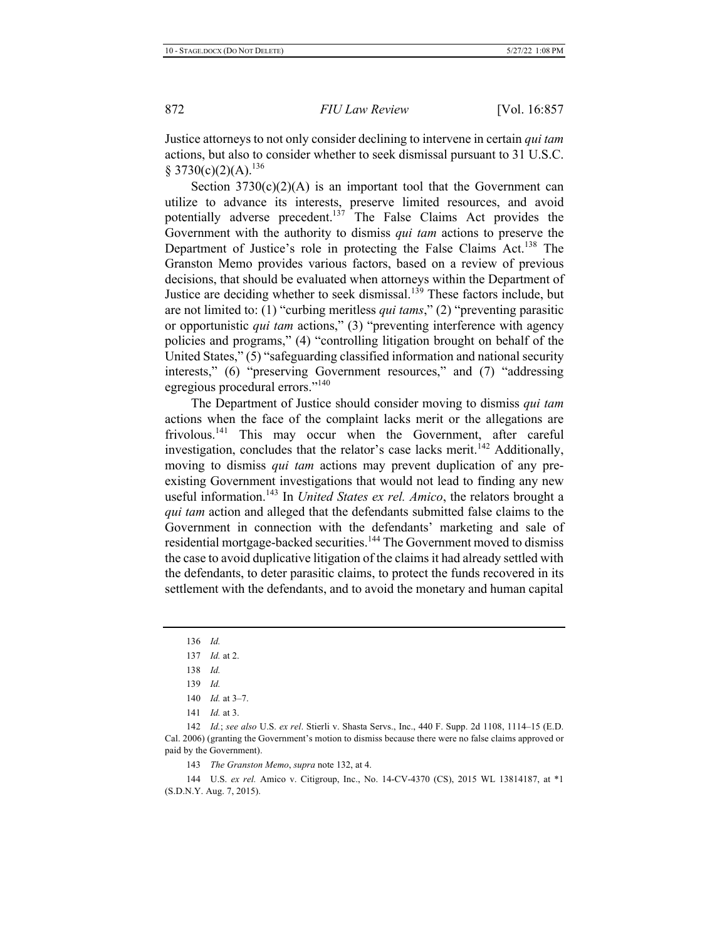Justice attorneys to not only consider declining to intervene in certain qui tam actions, but also to consider whether to seek dismissal pursuant to 31 U.S.C. § 3730(c)(2)(A).<sup>136</sup>

Section  $3730(c)(2)(A)$  is an important tool that the Government can utilize to advance its interests, preserve limited resources, and avoid potentially adverse precedent.<sup>137</sup> The False Claims Act provides the Government with the authority to dismiss *qui tam* actions to preserve the Department of Justice's role in protecting the False Claims Act.<sup>138</sup> The Granston Memo provides various factors, based on a review of previous decisions, that should be evaluated when attorneys within the Department of Justice are deciding whether to seek dismissal.<sup>139</sup> These factors include, but are not limited to: (1) "curbing meritless *qui tams*," (2) "preventing parasitic or opportunistic *qui tam* actions," (3) "preventing interference with agency policies and programs," (4) "controlling litigation brought on behalf of the United States," (5) "safeguarding classified information and national security interests," (6) "preserving Government resources," and (7) "addressing egregious procedural errors."<sup>140</sup>

The Department of Justice should consider moving to dismiss qui tam actions when the face of the complaint lacks merit or the allegations are frivolous.<sup>141</sup> This may occur when the Government, after careful investigation, concludes that the relator's case lacks merit.<sup>142</sup> Additionally, moving to dismiss *qui tam* actions may prevent duplication of any preexisting Government investigations that would not lead to finding any new useful information.<sup>143</sup> In *United States ex rel. Amico*, the relators brought a *qui tam* action and alleged that the defendants submitted false claims to the Government in connection with the defendants' marketing and sale of residential mortgage-backed securities.<sup>144</sup> The Government moved to dismiss the case to avoid duplicative litigation of the claims it had already settled with the defendants, to deter parasitic claims, to protect the funds recovered in its settlement with the defendants, and to avoid the monetary and human capital

136 Id.

- 138 Id.
- 139 Id.

142 *Id.*; see also U.S. ex rel. Stierli v. Shasta Servs., Inc., 440 F. Supp. 2d 1108, 1114-15 (E.D. Cal. 2006) (granting the Government's motion to dismiss because there were no false claims approved or paid by the Government).

143 The Granston Memo, supra note 132, at 4.

144 U.S. ex rel. Amico v. Citigroup, Inc., No. 14-CV-4370 (CS), 2015 WL 13814187, at \*1 (S.D.N.Y. Aug. 7, 2015).

<sup>137</sup> *Id.* at 2.

<sup>140</sup> *Id.* at 3-7.

<sup>141</sup> *Id.* at 3.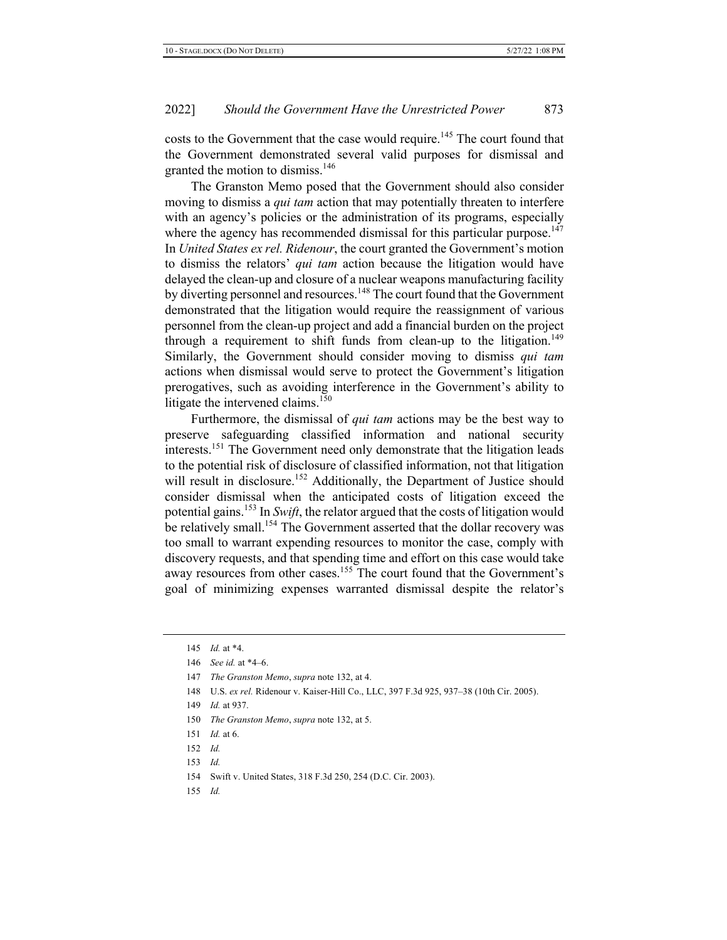costs to the Government that the case would require.<sup>145</sup> The court found that the Government demonstrated several valid purposes for dismissal and granted the motion to dismiss.<sup>146</sup>

The Granston Memo posed that the Government should also consider moving to dismiss a *qui tam* action that may potentially threaten to interfere with an agency's policies or the administration of its programs, especially where the agency has recommended dismissal for this particular purpose.<sup>147</sup> In *United States ex rel. Ridenour*, the court granted the Government's motion to dismiss the relators' *qui tam* action because the litigation would have delayed the clean-up and closure of a nuclear weapons manufacturing facility by diverting personnel and resources.<sup>148</sup> The court found that the Government demonstrated that the litigation would require the reassignment of various personnel from the clean-up project and add a financial burden on the project through a requirement to shift funds from clean-up to the litigation.<sup>149</sup> Similarly, the Government should consider moving to dismiss qui tam actions when dismissal would serve to protect the Government's litigation prerogatives, such as avoiding interference in the Government's ability to litigate the intervened claims.<sup>150</sup>

Furthermore, the dismissal of *qui tam* actions may be the best way to preserve safeguarding classified information and national security interests.<sup>151</sup> The Government need only demonstrate that the litigation leads to the potential risk of disclosure of classified information, not that litigation will result in disclosure.<sup>152</sup> Additionally, the Department of Justice should consider dismissal when the anticipated costs of litigation exceed the potential gains.<sup>153</sup> In *Swift*, the relator argued that the costs of litigation would be relatively small.<sup>154</sup> The Government asserted that the dollar recovery was too small to warrant expending resources to monitor the case, comply with discovery requests, and that spending time and effort on this case would take away resources from other cases.<sup>155</sup> The court found that the Government's goal of minimizing expenses warranted dismissal despite the relator's

148 U.S. ex rel. Ridenour v. Kaiser-Hill Co., LLC, 397 F.3d 925, 937-38 (10th Cir. 2005).

- 150 The Granston Memo, supra note 132, at 5.
- 151 *Id.* at 6.
- 152 Id.
- 153 *Id.*

<sup>145</sup> *Id.* at \*4.

<sup>146</sup> *See id.* at \*4–6.

<sup>147</sup> The Granston Memo, supra note 132, at 4.

<sup>149</sup> *Id.* at 937.

<sup>154</sup> Swift v. United States, 318 F.3d 250, 254 (D.C. Cir. 2003).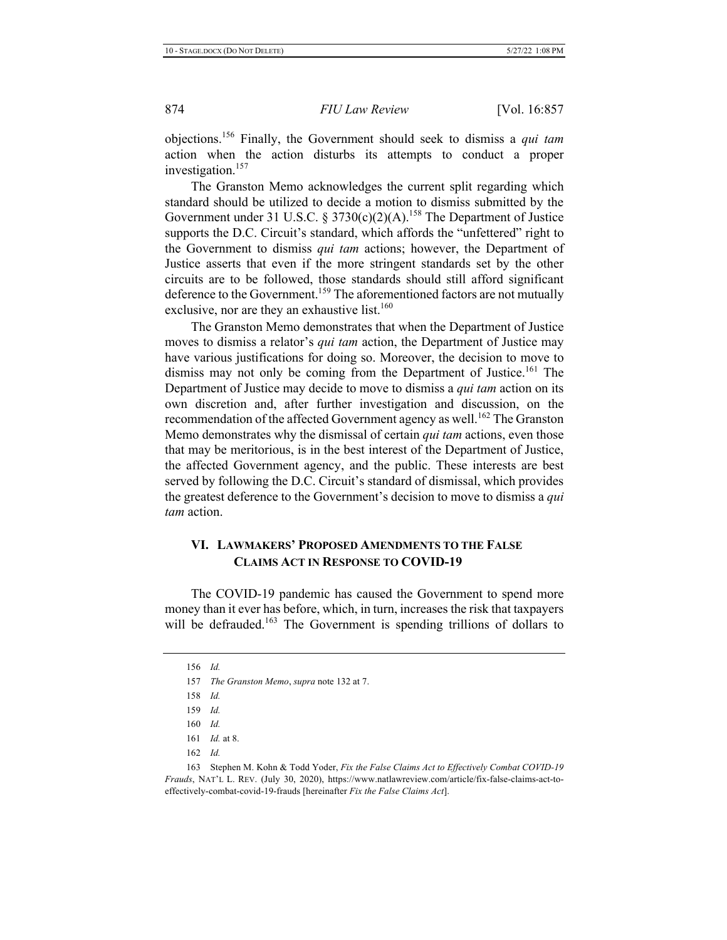objections.<sup>156</sup> Finally, the Government should seek to dismiss a *qui tam* action when the action disturbs its attempts to conduct a proper investigation.<sup>157</sup>

The Granston Memo acknowledges the current split regarding which standard should be utilized to decide a motion to dismiss submitted by the Government under 31 U.S.C. § 3730(c)(2)(A).<sup>158</sup> The Department of Justice supports the D.C. Circuit's standard, which affords the "unfettered" right to the Government to dismiss *qui tam* actions; however, the Department of Justice asserts that even if the more stringent standards set by the other circuits are to be followed, those standards should still afford significant deference to the Government.<sup>159</sup> The aforementioned factors are not mutually exclusive, nor are they an exhaustive list.<sup>160</sup>

The Granston Memo demonstrates that when the Department of Justice moves to dismiss a relator's *qui tam* action, the Department of Justice may have various justifications for doing so. Moreover, the decision to move to dismiss may not only be coming from the Department of Justice.<sup>161</sup> The Department of Justice may decide to move to dismiss a *qui tam* action on its own discretion and, after further investigation and discussion, on the recommendation of the affected Government agency as well.<sup>162</sup> The Granston Memo demonstrates why the dismissal of certain *qui tam* actions, even those that may be meritorious, is in the best interest of the Department of Justice, the affected Government agency, and the public. These interests are best served by following the D.C. Circuit's standard of dismissal, which provides the greatest deference to the Government's decision to move to dismiss a *qui action.* 

# VI. LAWMAKERS' PROPOSED AMENDMENTS TO THE FALSE **CLAIMS ACT IN RESPONSE TO COVID-19**

The COVID-19 pandemic has caused the Government to spend more money than it ever has before, which, in turn, increases the risk that taxpayers will be defrauded.<sup>163</sup> The Government is spending trillions of dollars to

<sup>156</sup> Id.

<sup>157</sup> The Granston Memo, supra note 132 at 7.

<sup>158</sup> Id.

<sup>159</sup> Id.

<sup>160</sup> Id.

<sup>161</sup> *Id.* at 8.

<sup>162</sup> Id.

<sup>163</sup> Stephen M. Kohn & Todd Yoder, Fix the False Claims Act to Effectively Combat COVID-19 Frauds, NAT'L L. REV. (July 30, 2020), https://www.natlawreview.com/article/fix-false-claims-act-toeffectively-combat-covid-19-frauds [hereinafter Fix the False Claims Act].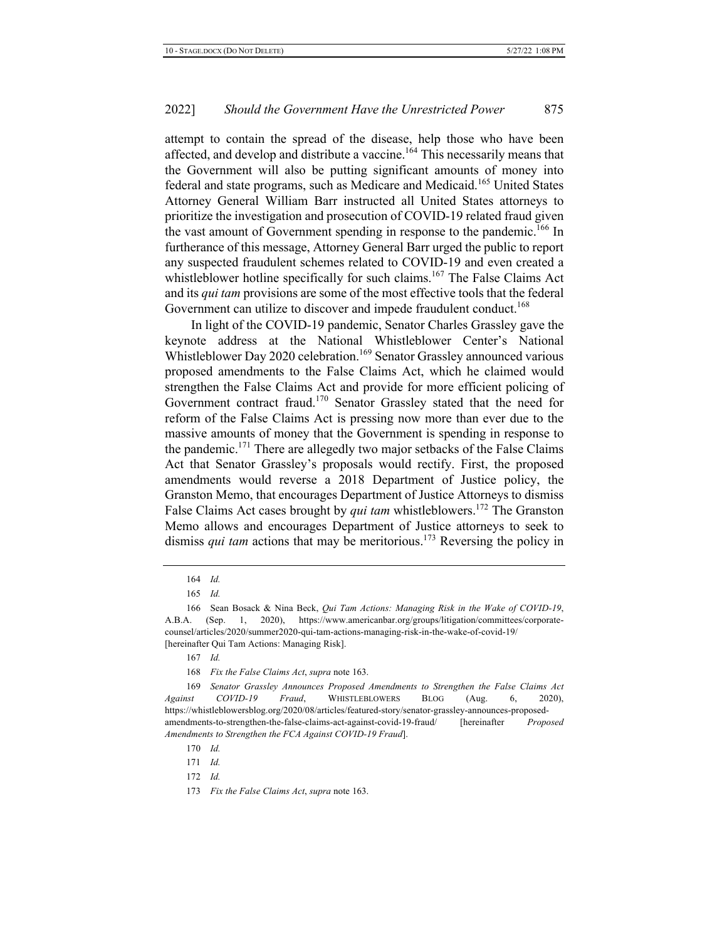attempt to contain the spread of the disease, help those who have been affected, and develop and distribute a vaccine.<sup>164</sup> This necessarily means that the Government will also be putting significant amounts of money into federal and state programs, such as Medicare and Medicaid.<sup>165</sup> United States Attorney General William Barr instructed all United States attorneys to prioritize the investigation and prosecution of COVID-19 related fraud given the vast amount of Government spending in response to the pandemic.<sup>166</sup> In furtherance of this message, Attorney General Barr urged the public to report any suspected fraudulent schemes related to COVID-19 and even created a whistleblower hotline specifically for such claims.<sup>167</sup> The False Claims Act and its *qui tam* provisions are some of the most effective tools that the federal Government can utilize to discover and impede fraudulent conduct.<sup>168</sup>

In light of the COVID-19 pandemic, Senator Charles Grassley gave the keynote address at the National Whistleblower Center's National Whistleblower Day 2020 celebration.<sup>169</sup> Senator Grassley announced various proposed amendments to the False Claims Act, which he claimed would strengthen the False Claims Act and provide for more efficient policing of Government contract fraud.<sup>170</sup> Senator Grassley stated that the need for reform of the False Claims Act is pressing now more than ever due to the massive amounts of money that the Government is spending in response to the pandemic.<sup>171</sup> There are allegedly two major setbacks of the False Claims Act that Senator Grassley's proposals would rectify. First, the proposed amendments would reverse a 2018 Department of Justice policy, the Granston Memo, that encourages Department of Justice Attorneys to dismiss False Claims Act cases brought by *qui tam* whistleblowers.<sup>172</sup> The Granston Memo allows and encourages Department of Justice attorneys to seek to dismiss *qui tam* actions that may be meritorious.<sup>173</sup> Reversing the policy in

 $171$  *Id.* 

<sup>164</sup> Id.

<sup>165</sup> *Id.* 

<sup>166</sup> Sean Bosack & Nina Beck, *Qui Tam Actions: Managing Risk in the Wake of COVID-19*, A.B.A. (Sep. 1, 2020), https://www.americanbar.org/groups/litigation/committees/corporatecounsel/articles/2020/summer2020-qui-tam-actions-managing-risk-in-the-wake-of-covid-19/ [hereinafter Qui Tam Actions: Managing Risk].

<sup>167</sup> Id.

<sup>168</sup> *Fix the False Claims Act, supra* note 163.

<sup>169</sup> Senator Grassley Announces Proposed Amendments to Strengthen the False Claims Act *Against COVID-19 Fraud*, WHISTLEBLOWERS BLOG (Aug. 6, 2020), https://whistleblowersblog.org/2020/08/articles/featured-story/senator-grassley-announces-proposedamendments-to-strengthen-the-false-claims-act-against-covid-19-fraud/ [hereinafter *Proposed Amendments to Strengthen the FCA Against COVID-19 Fraud*].

 $170$  *Id.* 

<sup>173</sup> Fix the False Claims Act, supra note 163.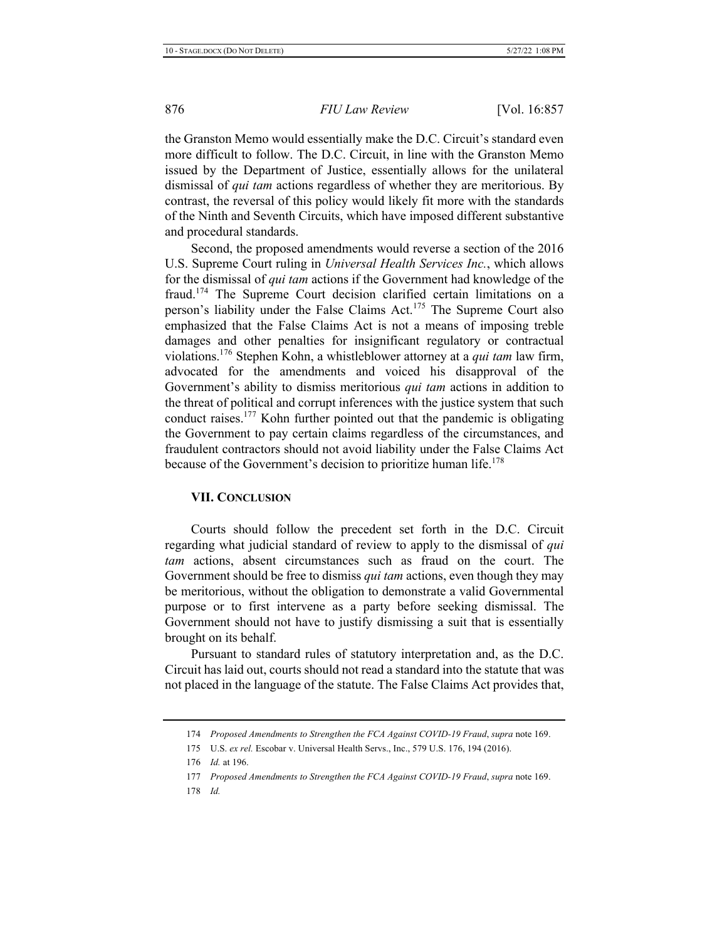the Granston Memo would essentially make the D.C. Circuit's standard even more difficult to follow. The D.C. Circuit, in line with the Granston Memo issued by the Department of Justice, essentially allows for the unilateral dismissal of *qui tam* actions regardless of whether they are meritorious. By contrast, the reversal of this policy would likely fit more with the standards of the Ninth and Seventh Circuits, which have imposed different substantive and procedural standards.

Second, the proposed amendments would reverse a section of the 2016 U.S. Supreme Court ruling in *Universal Health Services Inc.*, which allows for the dismissal of *qui tam* actions if the Government had knowledge of the fraud.<sup>174</sup> The Supreme Court decision clarified certain limitations on a person's liability under the False Claims Act.<sup>175</sup> The Supreme Court also emphasized that the False Claims Act is not a means of imposing treble damages and other penalties for insignificant regulatory or contractual violations.<sup>176</sup> Stephen Kohn, a whistleblower attorney at a *qui tam* law firm, advocated for the amendments and voiced his disapproval of the Government's ability to dismiss meritorious *qui tam* actions in addition to the threat of political and corrupt inferences with the justice system that such conduct raises.<sup>177</sup> Kohn further pointed out that the pandemic is obligating the Government to pay certain claims regardless of the circumstances, and fraudulent contractors should not avoid liability under the False Claims Act because of the Government's decision to prioritize human life.<sup>178</sup>

# **VII. CONCLUSION**

Courts should follow the precedent set forth in the D.C. Circuit regarding what judicial standard of review to apply to the dismissal of qui *tam* actions, absent circumstances such as fraud on the court. The Government should be free to dismiss *qui tam* actions, even though they may be meritorious, without the obligation to demonstrate a valid Governmental purpose or to first intervene as a party before seeking dismissal. The Government should not have to justify dismissing a suit that is essentially brought on its behalf.

Pursuant to standard rules of statutory interpretation and, as the D.C. Circuit has laid out, courts should not read a standard into the statute that was not placed in the language of the statute. The False Claims Act provides that,

- 177 Proposed Amendments to Strengthen the FCA Against COVID-19 Fraud, supra note 169.
- 178 Id.

<sup>174</sup> Proposed Amendments to Strengthen the FCA Against COVID-19 Fraud, supra note 169.

<sup>175</sup> U.S. ex rel. Escobar v. Universal Health Servs., Inc., 579 U.S. 176, 194 (2016).

<sup>176</sup> *Id.* at 196.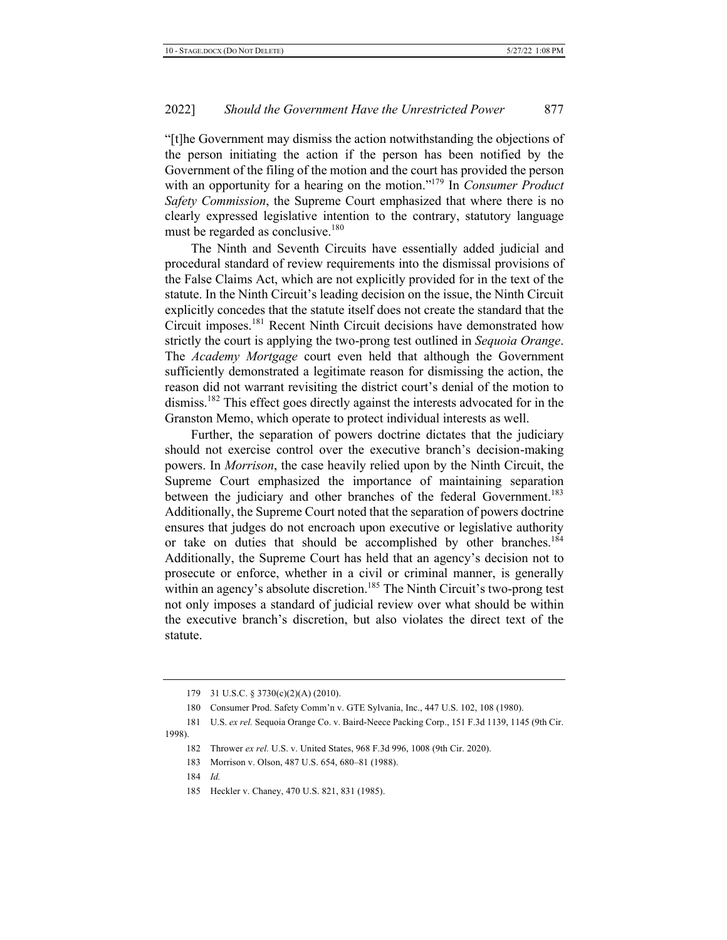"[t]he Government may dismiss the action notwithstanding the objections of the person initiating the action if the person has been notified by the Government of the filing of the motion and the court has provided the person with an opportunity for a hearing on the motion."<sup>179</sup> In *Consumer Product Safety Commission*, the Supreme Court emphasized that where there is no clearly expressed legislative intention to the contrary, statutory language must be regarded as conclusive. $180$ 

The Ninth and Seventh Circuits have essentially added judicial and procedural standard of review requirements into the dismissal provisions of the False Claims Act, which are not explicitly provided for in the text of the statute. In the Ninth Circuit's leading decision on the issue, the Ninth Circuit explicitly concedes that the statute itself does not create the standard that the Circuit imposes.<sup>181</sup> Recent Ninth Circuit decisions have demonstrated how strictly the court is applying the two-prong test outlined in Sequoia Orange. The Academy Mortgage court even held that although the Government sufficiently demonstrated a legitimate reason for dismissing the action, the reason did not warrant revisiting the district court's denial of the motion to dismiss.<sup>182</sup> This effect goes directly against the interests advocated for in the Granston Memo, which operate to protect individual interests as well.

Further, the separation of powers doctrine dictates that the judiciary should not exercise control over the executive branch's decision-making powers. In *Morrison*, the case heavily relied upon by the Ninth Circuit, the Supreme Court emphasized the importance of maintaining separation between the judiciary and other branches of the federal Government.<sup>183</sup> Additionally, the Supreme Court noted that the separation of powers doctrine ensures that judges do not encroach upon executive or legislative authority or take on duties that should be accomplished by other branches.<sup>184</sup> Additionally, the Supreme Court has held that an agency's decision not to prosecute or enforce, whether in a civil or criminal manner, is generally within an agency's absolute discretion.<sup>185</sup> The Ninth Circuit's two-prong test not only imposes a standard of judicial review over what should be within the executive branch's discretion, but also violates the direct text of the statute.

<sup>179 31</sup> U.S.C. § 3730(c)(2)(A) (2010).

<sup>180</sup> Consumer Prod. Safety Comm'n v. GTE Sylvania, Inc., 447 U.S. 102, 108 (1980).

<sup>181</sup> U.S. ex rel. Sequoia Orange Co. v. Baird-Neece Packing Corp., 151 F.3d 1139, 1145 (9th Cir. 1998).

<sup>182</sup> Thrower ex rel. U.S. v. United States, 968 F.3d 996, 1008 (9th Cir. 2020).

<sup>183</sup> Morrison v. Olson, 487 U.S. 654, 680-81 (1988).

<sup>185</sup> Heckler v. Chaney, 470 U.S. 821, 831 (1985).